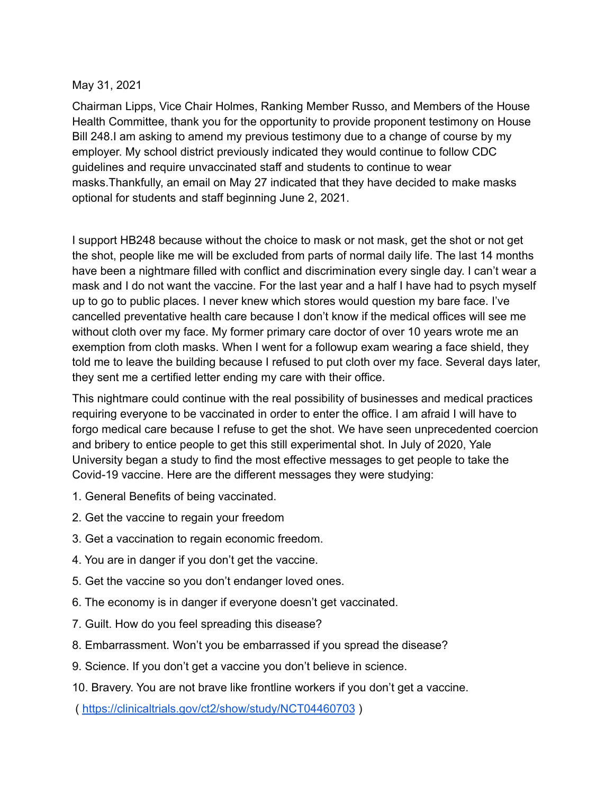## May 31, 2021

Chairman Lipps, Vice Chair Holmes, Ranking Member Russo, and Members of the House Health Committee, thank you for the opportunity to provide proponent testimony on House Bill 248.I am asking to amend my previous testimony due to a change of course by my employer. My school district previously indicated they would continue to follow CDC guidelines and require unvaccinated staff and students to continue to wear masks.Thankfully, an email on May 27 indicated that they have decided to make masks optional for students and staff beginning June 2, 2021.

I support HB248 because without the choice to mask or not mask, get the shot or not get the shot, people like me will be excluded from parts of normal daily life. The last 14 months have been a nightmare filled with conflict and discrimination every single day. I can't wear a mask and I do not want the vaccine. For the last year and a half I have had to psych myself up to go to public places. I never knew which stores would question my bare face. I've cancelled preventative health care because I don't know if the medical offices will see me without cloth over my face. My former primary care doctor of over 10 years wrote me an exemption from cloth masks. When I went for a followup exam wearing a face shield, they told me to leave the building because I refused to put cloth over my face. Several days later, they sent me a certified letter ending my care with their office.

This nightmare could continue with the real possibility of businesses and medical practices requiring everyone to be vaccinated in order to enter the office. I am afraid I will have to forgo medical care because I refuse to get the shot. We have seen unprecedented coercion and bribery to entice people to get this still experimental shot. In July of 2020, Yale University began a study to find the most effective messages to get people to take the Covid-19 vaccine. Here are the different messages they were studying:

- 1. General Benefits of being vaccinated.
- 2. Get the vaccine to regain your freedom
- 3. Get a vaccination to regain economic freedom.
- 4. You are in danger if you don't get the vaccine.
- 5. Get the vaccine so you don't endanger loved ones.
- 6. The economy is in danger if everyone doesn't get vaccinated.
- 7. Guilt. How do you feel spreading this disease?
- 8. Embarrassment. Won't you be embarrassed if you spread the disease?
- 9. Science. If you don't get a vaccine you don't believe in science.
- 10. Bravery. You are not brave like frontline workers if you don't get a vaccine.

( <https://clinicaltrials.gov/ct2/show/study/NCT04460703> )